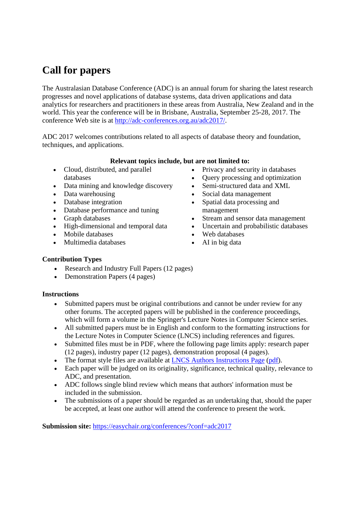# **Call for papers**

The Australasian Database Conference (ADC) is an annual forum for sharing the latest research progresses and novel applications of database systems, data driven applications and data analytics for researchers and practitioners in these areas from Australia, New Zealand and in the world. This year the conference will be in Brisbane, Australia, September 25-28, 2017. The conference Web site is at http://adc-conferences.org.au/adc2017/.

ADC 2017 welcomes contributions related to all aspects of database theory and foundation, techniques, and applications.

### **Relevant topics include, but are not limited to:**

- Cloud, distributed, and parallel databases
- Data mining and knowledge discovery
- Data warehousing
- Database integration
- Database performance and tuning
- Graph databases
- High-dimensional and temporal data
- Mobile databases
- Multimedia databases
- Privacy and security in databases
- Query processing and optimization
- Semi-structured data and XML
- Social data management
- Spatial data processing and management
- Stream and sensor data management
- Uncertain and probabilistic databases
- Web databases
- AI in big data

## **Contribution Types**

- Research and Industry Full Papers (12 pages)
- Demonstration Papers (4 pages)

### **Instructions**

- Submitted papers must be original contributions and cannot be under review for any other forums. The accepted papers will be published in the conference proceedings, which will form a volume in the Springer's Lecture Notes in Computer Science series.
- All submitted papers must be in English and conform to the formatting instructions for the Lecture Notes in Computer Science (LNCS) including references and figures.
- Submitted files must be in PDF, where the following page limits apply: research paper (12 pages), industry paper (12 pages), demonstration proposal (4 pages).
- The format style files are available at LNCS Authors Instructions Page (pdf).
- Each paper will be judged on its originality, significance, technical quality, relevance to ADC, and presentation.
- ADC follows single blind review which means that authors' information must be included in the submission.
- The submissions of a paper should be regarded as an undertaking that, should the paper be accepted, at least one author will attend the conference to present the work.

**Submission site:** https://easychair.org/conferences/?conf=adc2017